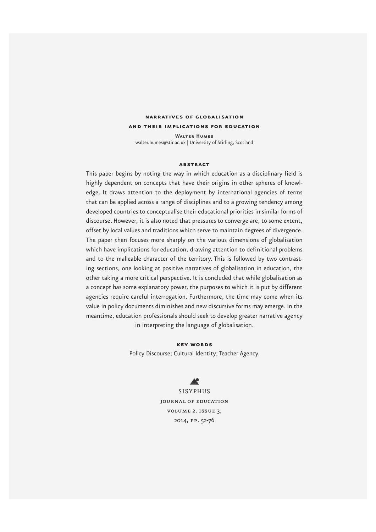#### **narratives of globalisation**

**and their implications for education**

**Walter Humes**  walter.humes@stir.ac.uk | University of Stirling, Scotland

#### **abstract**

This paper begins by noting the way in which education as a disciplinary field is highly dependent on concepts that have their origins in other spheres of knowledge. It draws attention to the deployment by international agencies of terms that can be applied across a range of disciplines and to a growing tendency among developed countries to conceptualise their educational priorities in similar forms of discourse. However, it is also noted that pressures to converge are, to some extent, offset by local values and traditions which serve to maintain degrees of divergence. The paper then focuses more sharply on the various dimensions of globalisation which have implications for education, drawing attention to definitional problems and to the malleable character of the territory. This is followed by two contrasting sections, one looking at positive narratives of globalisation in education, the other taking a more critical perspective. It is concluded that while globalisation as a concept has some explanatory power, the purposes to which it is put by different agencies require careful interrogation. Furthermore, the time may come when its value in policy documents diminishes and new discursive forms may emerge. In the meantime, education professionals should seek to develop greater narrative agency in interpreting the language of globalisation.

> **key words** Policy Discourse; Cultural Identity; Teacher Agency.

> > $\blacktriangle$

SISYPHUS journal of education volume 2, issue 3, 2014, pp. 52-76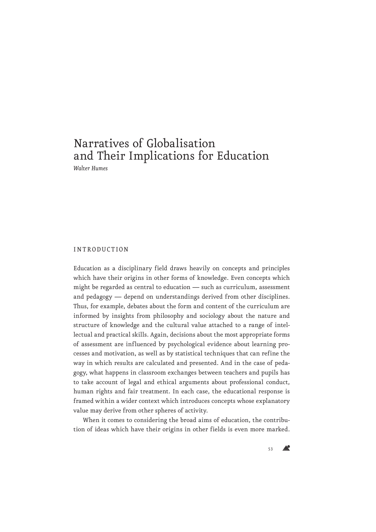# Narratives of Globalisation and Their Implications for Education

*Walter Humes*

### INTRODUCTION

Education as a disciplinary field draws heavily on concepts and principles which have their origins in other forms of knowledge. Even concepts which might be regarded as central to education — such as curriculum, assessment and pedagogy — depend on understandings derived from other disciplines. Thus, for example, debates about the form and content of the curriculum are informed by insights from philosophy and sociology about the nature and structure of knowledge and the cultural value attached to a range of intellectual and practical skills. Again, decisions about the most appropriate forms of assessment are influenced by psychological evidence about learning processes and motivation, as well as by statistical techniques that can refine the way in which results are calculated and presented. And in the case of pedagogy, what happens in classroom exchanges between teachers and pupils has to take account of legal and ethical arguments about professional conduct, human rights and fair treatment. In each case, the educational response is framed within a wider context which introduces concepts whose explanatory value may derive from other spheres of activity.

When it comes to considering the broad aims of education, the contribution of ideas which have their origins in other fields is even more marked.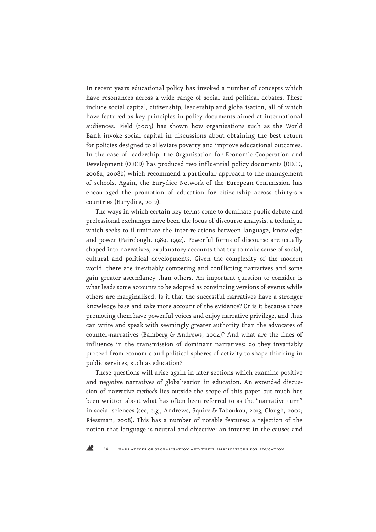In recent years educational policy has invoked a number of concepts which have resonances across a wide range of social and political debates. These include social capital, citizenship, leadership and globalisation, all of which have featured as key principles in policy documents aimed at international audiences. Field (2003) has shown how organisations such as the World Bank invoke social capital in discussions about obtaining the best return for policies designed to alleviate poverty and improve educational outcomes. In the case of leadership, the Organisation for Economic Cooperation and Development (OECD) has produced two influential policy documents (OECD, 2008a, 2008b) which recommend a particular approach to the management of schools. Again, the Eurydice Network of the European Commission has encouraged the promotion of education for citizenship across thirty-six countries (Eurydice, 2012).

The ways in which certain key terms come to dominate public debate and professional exchanges have been the focus of discourse analysis, a technique which seeks to illuminate the inter-relations between language, knowledge and power (Fairclough, 1989, 1992). Powerful forms of discourse are usually shaped into narratives, explanatory accounts that try to make sense of social, cultural and political developments. Given the complexity of the modern world, there are inevitably competing and conflicting narratives and some gain greater ascendancy than others. An important question to consider is what leads some accounts to be adopted as convincing versions of events while others are marginalised. Is it that the successful narratives have a stronger knowledge base and take more account of the evidence? Or is it because those promoting them have powerful voices and enjoy narrative privilege, and thus can write and speak with seemingly greater authority than the advocates of counter-narratives (Bamberg & Andrews, 2004)? And what are the lines of influence in the transmission of dominant narratives: do they invariably proceed from economic and political spheres of activity to shape thinking in public services, such as education?

These questions will arise again in later sections which examine positive and negative narratives of globalisation in education. An extended discussion of narrative *methods* lies outside the scope of this paper but much has been written about what has often been referred to as the "narrative turn" in social sciences (see, e.g., Andrews, Squire & Taboukou, 2013; Clough, 2002; Riessman, 2008). This has a number of notable features: a rejection of the notion that language is neutral and objective; an interest in the causes and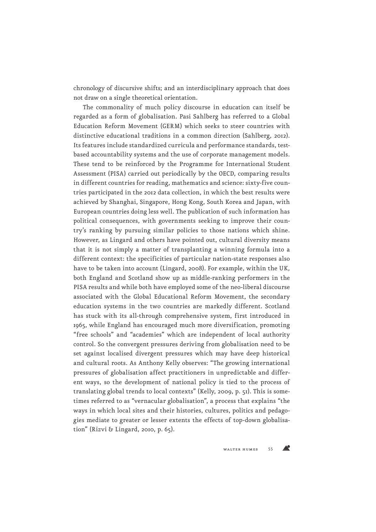chronology of discursive shifts; and an interdisciplinary approach that does not draw on a single theoretical orientation.

The commonality of much policy discourse in education can itself be regarded as a form of globalisation. Pasi Sahlberg has referred to a Global Education Reform Movement (GERM) which seeks to steer countries with distinctive educational traditions in a common direction (Sahlberg, 2012). Its features include standardized curricula and performance standards, testbased accountability systems and the use of corporate management models. These tend to be reinforced by the Programme for International Student Assessment (PISA) carried out periodically by the OECD, comparing results in different countries for reading, mathematics and science: sixty-five countries participated in the 2012 data collection, in which the best results were achieved by Shanghai, Singapore, Hong Kong, South Korea and Japan, with European countries doing less well. The publication of such information has political consequences, with governments seeking to improve their country's ranking by pursuing similar policies to those nations which shine. However, as Lingard and others have pointed out, cultural diversity means that it is not simply a matter of transplanting a winning formula into a different context: the specificities of particular nation-state responses also have to be taken into account (Lingard, 2008). For example, within the UK, both England and Scotland show up as middle-ranking performers in the PISA results and while both have employed some of the neo-liberal discourse associated with the Global Educational Reform Movement, the secondary education systems in the two countries are markedly different. Scotland has stuck with its all-through comprehensive system, first introduced in 1965, while England has encouraged much more diversification, promoting "free schools" and "academies" which are independent of local authority control. So the convergent pressures deriving from globalisation need to be set against localised divergent pressures which may have deep historical and cultural roots. As Anthony Kelly observes: "The growing international pressures of globalisation affect practitioners in unpredictable and different ways, so the development of national policy is tied to the process of translating global trends to local contexts" (Kelly, 2009, p. 51). This is sometimes referred to as "vernacular globalisation", a process that explains "the ways in which local sites and their histories, cultures, politics and pedagogies mediate to greater or lesser extents the effects of top-down globalisation" (Rizvi & Lingard, 2010, p. 65).

**AP**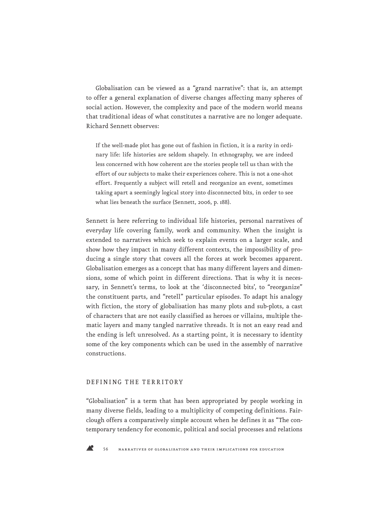Globalisation can be viewed as a "grand narrative": that is, an attempt to offer a general explanation of diverse changes affecting many spheres of social action. However, the complexity and pace of the modern world means that traditional ideas of what constitutes a narrative are no longer adequate. Richard Sennett observes:

If the well-made plot has gone out of fashion in fiction, it is a rarity in ordinary life: life histories are seldom shapely. In ethnography, we are indeed less concerned with how coherent are the stories people tell us than with the effort of our subjects to make their experiences cohere. This is not a one-shot effort. Frequently a subject will retell and reorganize an event, sometimes taking apart a seemingly logical story into disconnected bits, in order to see what lies beneath the surface (Sennett, 2006, p. 188).

Sennett is here referring to individual life histories, personal narratives of everyday life covering family, work and community. When the insight is extended to narratives which seek to explain events on a larger scale, and show how they impact in many different contexts, the impossibility of producing a single story that covers all the forces at work becomes apparent. Globalisation emerges as a concept that has many different layers and dimensions, some of which point in different directions. That is why it is necessary, in Sennett's terms, to look at the 'disconnected bits', to "reorganize" the constituent parts, and "retell" particular episodes. To adapt his analogy with fiction, the story of globalisation has many plots and sub-plots, a cast of characters that are not easily classified as heroes or villains, multiple thematic layers and many tangled narrative threads. It is not an easy read and the ending is left unresolved. As a starting point, it is necessary to identity some of the key components which can be used in the assembly of narrative constructions.

# DEFINING THE TERRITORY

"Globalisation" is a term that has been appropriated by people working in many diverse fields, leading to a multiplicity of competing definitions. Fairclough offers a comparatively simple account when he defines it as "The contemporary tendency for economic, political and social processes and relations

56 narratives of globalisation and their implications for education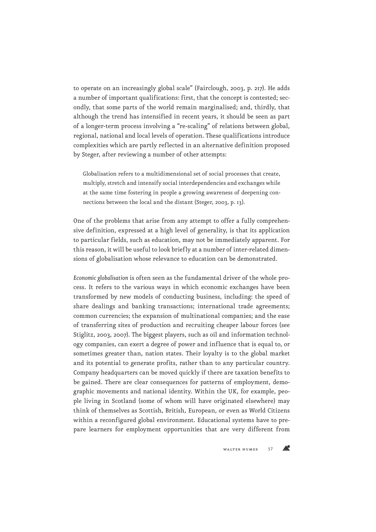to operate on an increasingly global scale" (Fairclough, 2003, p. 217). He adds a number of important qualifications: first, that the concept is contested; secondly, that some parts of the world remain marginalised; and, thirdly, that although the trend has intensified in recent years, it should be seen as part of a longer-term process involving a "re-scaling" of relations between global, regional, national and local levels of operation. These qualifications introduce complexities which are partly reflected in an alternative definition proposed by Steger, after reviewing a number of other attempts:

Globalisation refers to a multidimensional set of social processes that create, multiply, stretch and intensify social interdependencies and exchanges while at the same time fostering in people a growing awareness of deepening connections between the local and the distant (Steger, 2003, p. 13).

One of the problems that arise from any attempt to offer a fully comprehensive definition, expressed at a high level of generality, is that its application to particular fields, such as education, may not be immediately apparent. For this reason, it will be useful to look briefly at a number of inter-related dimensions of globalisation whose relevance to education can be demonstrated.

*Economic globalisation* is often seen as the fundamental driver of the whole process. It refers to the various ways in which economic exchanges have been transformed by new models of conducting business, including: the speed of share dealings and banking transactions; international trade agreements; common currencies; the expansion of multinational companies; and the ease of transferring sites of production and recruiting cheaper labour forces (see Stiglitz, 2003, 2007). The biggest players, such as oil and information technology companies, can exert a degree of power and influence that is equal to, or sometimes greater than, nation states. Their loyalty is to the global market and its potential to generate profits, rather than to any particular country. Company headquarters can be moved quickly if there are taxation benefits to be gained. There are clear consequences for patterns of employment, demographic movements and national identity. Within the UK, for example, people living in Scotland (some of whom will have originated elsewhere) may think of themselves as Scottish, British, European, or even as World Citizens within a reconfigured global environment. Educational systems have to prepare learners for employment opportunities that are very different from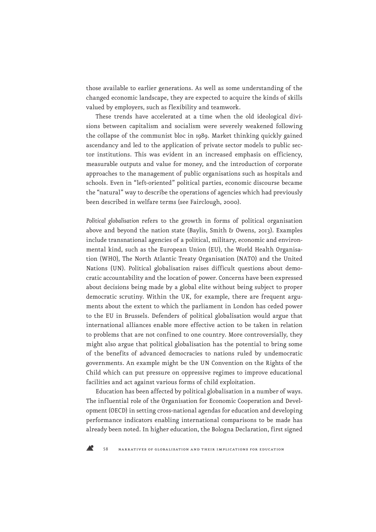those available to earlier generations. As well as some understanding of the changed economic landscape, they are expected to acquire the kinds of skills valued by employers, such as flexibility and teamwork.

These trends have accelerated at a time when the old ideological divisions between capitalism and socialism were severely weakened following the collapse of the communist bloc in 1989. Market thinking quickly gained ascendancy and led to the application of private sector models to public sector institutions. This was evident in an increased emphasis on efficiency, measurable outputs and value for money, and the introduction of corporate approaches to the management of public organisations such as hospitals and schools. Even in "left-oriented" political parties, economic discourse became the "natural" way to describe the operations of agencies which had previously been described in welfare terms (see Fairclough, 2000).

*Political globalisation* refers to the growth in forms of political organisation above and beyond the nation state (Baylis, Smith & Owens, 2013). Examples include transnational agencies of a political, military, economic and environmental kind, such as the European Union (EU), the World Health Organisation (WHO), The North Atlantic Treaty Organisation (NATO) and the United Nations (UN). Political globalisation raises difficult questions about democratic accountability and the location of power. Concerns have been expressed about decisions being made by a global elite without being subject to proper democratic scrutiny. Within the UK, for example, there are frequent arguments about the extent to which the parliament in London has ceded power to the EU in Brussels. Defenders of political globalisation would argue that international alliances enable more effective action to be taken in relation to problems that are not confined to one country. More controversially, they might also argue that political globalisation has the potential to bring some of the benefits of advanced democracies to nations ruled by undemocratic governments. An example might be the UN Convention on the Rights of the Child which can put pressure on oppressive regimes to improve educational facilities and act against various forms of child exploitation.

Education has been affected by political globalisation in a number of ways. The influential role of the Organisation for Economic Cooperation and Development (OECD) in setting cross-national agendas for education and developing performance indicators enabling international comparisons to be made has already been noted. In higher education, the Bologna Declaration, first signed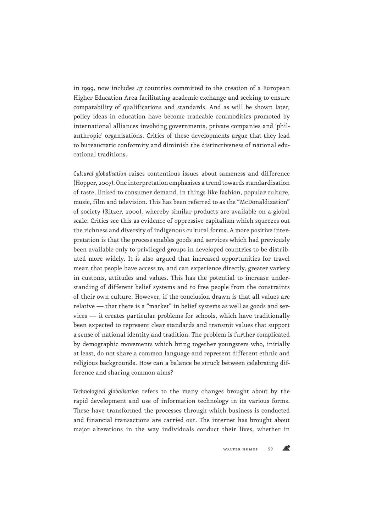in 1999, now includes 47 countries committed to the creation of a European Higher Education Area facilitating academic exchange and seeking to ensure comparability of qualifications and standards. And as will be shown later, policy ideas in education have become tradeable commodities promoted by international alliances involving governments, private companies and 'philanthropic' organisations. Critics of these developments argue that they lead to bureaucratic conformity and diminish the distinctiveness of national educational traditions.

*Cultural globalisation* raises contentious issues about sameness and difference (Hopper, 2007). One interpretation emphasises a trend towards standardisation of taste, linked to consumer demand, in things like fashion, popular culture, music, film and television. This has been referred to as the "McDonaldization" of society (Ritzer, 2000), whereby similar products are available on a global scale. Critics see this as evidence of oppressive capitalism which squeezes out the richness and diversity of indigenous cultural forms. A more positive interpretation is that the process enables goods and services which had previously been available only to privileged groups in developed countries to be distributed more widely. It is also argued that increased opportunities for travel mean that people have access to, and can experience directly, greater variety in customs, attitudes and values. This has the potential to increase understanding of different belief systems and to free people from the constraints of their own culture. However, if the conclusion drawn is that all values are relative — that there is a "market" in belief systems as well as goods and services — it creates particular problems for schools, which have traditionally been expected to represent clear standards and transmit values that support a sense of national identity and tradition. The problem is further complicated by demographic movements which bring together youngsters who, initially at least, do not share a common language and represent different ethnic and religious backgrounds. How can a balance be struck between celebrating difference and sharing common aims?

*Technological globalisation* refers to the many changes brought about by the rapid development and use of information technology in its various forms. These have transformed the processes through which business is conducted and financial transactions are carried out. The internet has brought about major alterations in the way individuals conduct their lives, whether in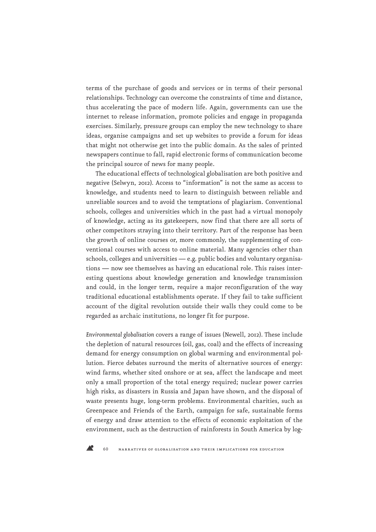terms of the purchase of goods and services or in terms of their personal relationships. Technology can overcome the constraints of time and distance, thus accelerating the pace of modern life. Again, governments can use the internet to release information, promote policies and engage in propaganda exercises. Similarly, pressure groups can employ the new technology to share ideas, organise campaigns and set up websites to provide a forum for ideas that might not otherwise get into the public domain. As the sales of printed newspapers continue to fall, rapid electronic forms of communication become the principal source of news for many people.

The educational effects of technological globalisation are both positive and negative (Selwyn, 2012). Access to "information" is not the same as access to knowledge, and students need to learn to distinguish between reliable and unreliable sources and to avoid the temptations of plagiarism. Conventional schools, colleges and universities which in the past had a virtual monopoly of knowledge, acting as its gatekeepers, now find that there are all sorts of other competitors straying into their territory. Part of the response has been the growth of online courses or, more commonly, the supplementing of conventional courses with access to online material. Many agencies other than schools, colleges and universities — e.g. public bodies and voluntary organisations — now see themselves as having an educational role. This raises interesting questions about knowledge generation and knowledge transmission and could, in the longer term, require a major reconfiguration of the way traditional educational establishments operate. If they fail to take sufficient account of the digital revolution outside their walls they could come to be regarded as archaic institutions, no longer fit for purpose.

*Environmental globalisation* covers a range of issues (Newell, 2012). These include the depletion of natural resources (oil, gas, coal) and the effects of increasing demand for energy consumption on global warming and environmental pollution. Fierce debates surround the merits of alternative sources of energy: wind farms, whether sited onshore or at sea, affect the landscape and meet only a small proportion of the total energy required; nuclear power carries high risks, as disasters in Russia and Japan have shown, and the disposal of waste presents huge, long-term problems. Environmental charities, such as Greenpeace and Friends of the Earth, campaign for safe, sustainable forms of energy and draw attention to the effects of economic exploitation of the environment, such as the destruction of rainforests in South America by log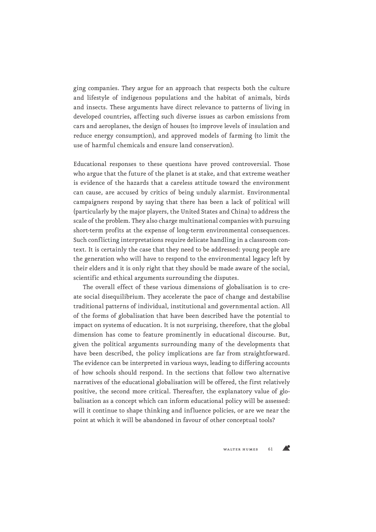ging companies. They argue for an approach that respects both the culture and lifestyle of indigenous populations and the habitat of animals, birds and insects. These arguments have direct relevance to patterns of living in developed countries, affecting such diverse issues as carbon emissions from cars and aeroplanes, the design of houses (to improve levels of insulation and reduce energy consumption), and approved models of farming (to limit the use of harmful chemicals and ensure land conservation).

Educational responses to these questions have proved controversial. Those who argue that the future of the planet is at stake, and that extreme weather is evidence of the hazards that a careless attitude toward the environment can cause, are accused by critics of being unduly alarmist. Environmental campaigners respond by saying that there has been a lack of political will (particularly by the major players, the United States and China) to address the scale of the problem. They also charge multinational companies with pursuing short-term profits at the expense of long-term environmental consequences. Such conflicting interpretations require delicate handling in a classroom context. It is certainly the case that they need to be addressed: young people are the generation who will have to respond to the environmental legacy left by their elders and it is only right that they should be made aware of the social, scientific and ethical arguments surrounding the disputes.

The overall effect of these various dimensions of globalisation is to create social disequilibrium. They accelerate the pace of change and destabilise traditional patterns of individual, institutional and governmental action. All of the forms of globalisation that have been described have the potential to impact on systems of education. It is not surprising, therefore, that the global dimension has come to feature prominently in educational discourse. But, given the political arguments surrounding many of the developments that have been described, the policy implications are far from straightforward. The evidence can be interpreted in various ways, leading to differing accounts of how schools should respond. In the sections that follow two alternative narratives of the educational globalisation will be offered, the first relatively positive, the second more critical. Thereafter, the explanatory value of globalisation as a concept which can inform educational policy will be assessed: will it continue to shape thinking and influence policies, or are we near the point at which it will be abandoned in favour of other conceptual tools?

**AP**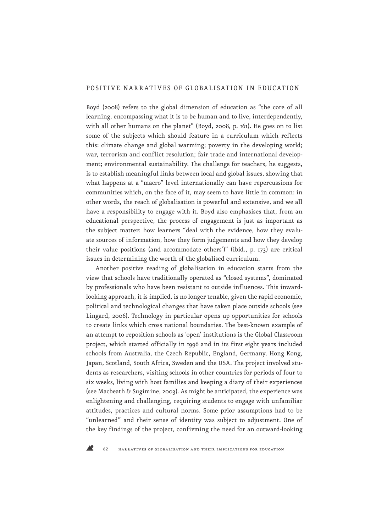# POSITIVE NARRATIVES OF GLOBALISATION IN EDUCATION

Boyd (2008) refers to the global dimension of education as "the core of all learning, encompassing what it is to be human and to live, interdependently, with all other humans on the planet" (Boyd, 2008, p. 161). He goes on to list some of the subjects which should feature in a curriculum which reflects this: climate change and global warming; poverty in the developing world; war, terrorism and conflict resolution; fair trade and international development; environmental sustainability. The challenge for teachers, he suggests, is to establish meaningful links between local and global issues, showing that what happens at a "macro" level internationally can have repercussions for communities which, on the face of it, may seem to have little in common: in other words, the reach of globalisation is powerful and extensive, and we all have a responsibility to engage with it. Boyd also emphasises that, from an educational perspective, the process of engagement is just as important as the subject matter: how learners "deal with the evidence, how they evaluate sources of information, how they form judgements and how they develop their value positions (and accommodate others')" (ibid., p. 173) are critical issues in determining the worth of the globalised curriculum.

Another positive reading of globalisation in education starts from the view that schools have traditionally operated as "closed systems", dominated by professionals who have been resistant to outside influences. This inwardlooking approach, it is implied, is no longer tenable, given the rapid economic, political and technological changes that have taken place outside schools (see Lingard, 2006). Technology in particular opens up opportunities for schools to create links which cross national boundaries. The best-known example of an attempt to reposition schools as 'open' institutions is the Global Classroom project, which started officially in 1996 and in its first eight years included schools from Australia, the Czech Republic, England, Germany, Hong Kong, Japan, Scotland, South Africa, Sweden and the USA. The project involved students as researchers, visiting schools in other countries for periods of four to six weeks, living with host families and keeping a diary of their experiences (see Macbeath & Sugimine, 2003). As might be anticipated, the experience was enlightening and challenging, requiring students to engage with unfamiliar attitudes, practices and cultural norms. Some prior assumptions had to be "unlearned" and their sense of identity was subject to adjustment. One of the key findings of the project, confirming the need for an outward-looking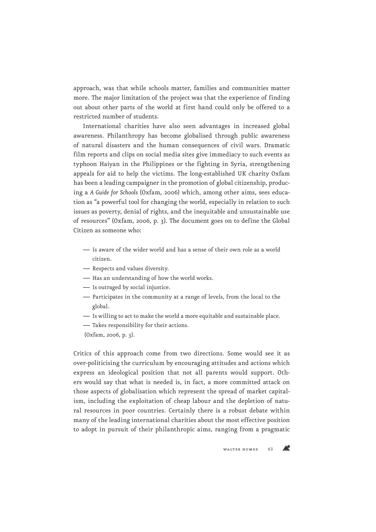approach, was that while schools matter, families and communities matter more. The major limitation of the project was that the experience of finding out about other parts of the world at first hand could only be offered to a restricted number of students.

International charities have also seen advantages in increased global awareness. Philanthropy has become globalised through public awareness of natural disasters and the human consequences of civil wars. Dramatic film reports and clips on social media sites give immediacy to such events as typhoon Haiyan in the Philippines or the fighting in Syria, strengthening appeals for aid to help the victims. The long-established UK charity Oxfam has been a leading campaigner in the promotion of global citizenship, producing a *A Guide for Schools* (Oxfam, 2006) which, among other aims, sees education as "a powerful tool for changing the world, especially in relation to such issues as poverty, denial of rights, and the inequitable and unsustainable use of resources" (Oxfam, 2006, p. 3). The document goes on to define the Global Citizen as someone who:

- Is aware of the wider world and has a sense of their own role as a world citizen.
- Respects and values diversity.
- Has an understanding of how the world works.
- Is outraged by social injustice.
- Participates in the community at a range of levels, from the local to the global.
- Is willing to act to make the world a more equitable and sustainable place.
- Takes responsibility for their actions.
- (Oxfam, 2006, p. 3).

Critics of this approach come from two directions. Some would see it as over-politicising the curriculum by encouraging attitudes and actions which express an ideological position that not all parents would support. Others would say that what is needed is, in fact, a more committed attack on those aspects of globalisation which represent the spread of market capitalism, including the exploitation of cheap labour and the depletion of natural resources in poor countries. Certainly there is a robust debate within many of the leading international charities about the most effective position to adopt in pursuit of their philanthropic aims, ranging from a pragmatic

**AP**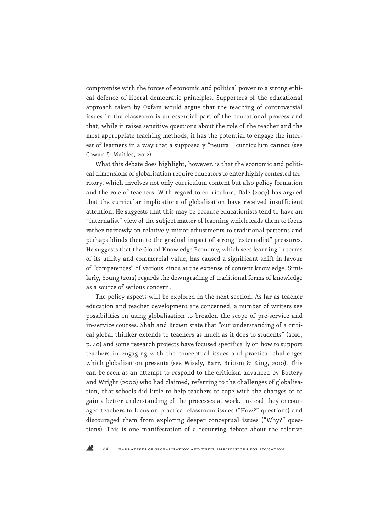compromise with the forces of economic and political power to a strong ethical defence of liberal democratic principles. Supporters of the educational approach taken by Oxfam would argue that the teaching of controversial issues in the classroom is an essential part of the educational process and that, while it raises sensitive questions about the role of the teacher and the most appropriate teaching methods, it has the potential to engage the interest of learners in a way that a supposedly "neutral" curriculum cannot (see Cowan & Maitles, 2012).

What this debate does highlight, however, is that the economic and political dimensions of globalisation require educators to enter highly contested territory, which involves not only curriculum content but also policy formation and the role of teachers. With regard to curriculum, Dale (2007) has argued that the curricular implications of globalisation have received insufficient attention. He suggests that this may be because educationists tend to have an "internalist" view of the subject matter of learning which leads them to focus rather narrowly on relatively minor adjustments to traditional patterns and perhaps blinds them to the gradual impact of strong "externalist" pressures. He suggests that the Global Knowledge Economy, which sees learning in terms of its utility and commercial value, has caused a significant shift in favour of "competences" of various kinds at the expense of content knowledge. Similarly, Young (2012) regards the downgrading of traditional forms of knowledge as a source of serious concern.

The policy aspects will be explored in the next section. As far as teacher education and teacher development are concerned, a number of writers see possibilities in using globalisation to broaden the scope of pre-service and in-service courses. Shah and Brown state that "our understanding of a critical global thinker extends to teachers as much as it does to students" (2010, p. 40) and some research projects have focused specifically on how to support teachers in engaging with the conceptual issues and practical challenges which globalisation presents (see Wisely, Barr, Britton & King, 2010). This can be seen as an attempt to respond to the criticism advanced by Bottery and Wright (2000) who had claimed, referring to the challenges of globalisation, that schools did little to help teachers to cope with the changes or to gain a better understanding of the processes at work. Instead they encouraged teachers to focus on practical classroom issues ("How?" questions) and discouraged them from exploring deeper conceptual issues ("Why?" questions). This is one manifestation of a recurring debate about the relative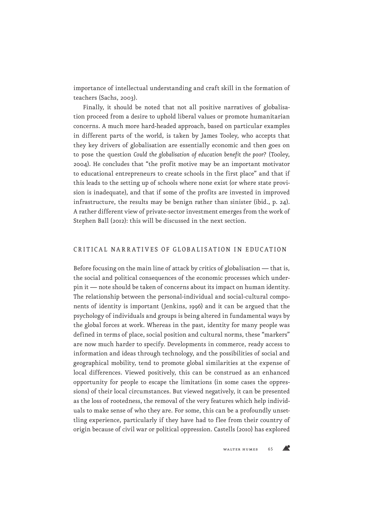importance of intellectual understanding and craft skill in the formation of teachers (Sachs, 2003).

Finally, it should be noted that not all positive narratives of globalisation proceed from a desire to uphold liberal values or promote humanitarian concerns. A much more hard-headed approach, based on particular examples in different parts of the world, is taken by James Tooley, who accepts that they key drivers of globalisation are essentially economic and then goes on to pose the question *Could the globalisation of education benefit the poor?* (Tooley, 2004). He concludes that "the profit motive may be an important motivator to educational entrepreneurs to create schools in the first place" and that if this leads to the setting up of schools where none exist (or where state provision is inadequate), and that if some of the profits are invested in improved infrastructure, the results may be benign rather than sinister (ibid., p. 24). A rather different view of private-sector investment emerges from the work of Stephen Ball (2012): this will be discussed in the next section.

### CRITICAL NARRATIVES OF GLOBALISATION IN EDUCATION

Before focusing on the main line of attack by critics of globalisation — that is, the social and political consequences of the economic processes which underpin it — note should be taken of concerns about its impact on human identity. The relationship between the personal-individual and social-cultural components of identity is important (Jenkins, 1996) and it can be argued that the psychology of individuals and groups is being altered in fundamental ways by the global forces at work. Whereas in the past, identity for many people was defined in terms of place, social position and cultural norms, these "markers" are now much harder to specify. Developments in commerce, ready access to information and ideas through technology, and the possibilities of social and geographical mobility, tend to promote global similarities at the expense of local differences. Viewed positively, this can be construed as an enhanced opportunity for people to escape the limitations (in some cases the oppressions) of their local circumstances. But viewed negatively, it can be presented as the loss of rootedness, the removal of the very features which help individuals to make sense of who they are. For some, this can be a profoundly unsettling experience, particularly if they have had to flee from their country of origin because of civil war or political oppression. Castells (2010) has explored

 $\blacktriangle^{\circ}$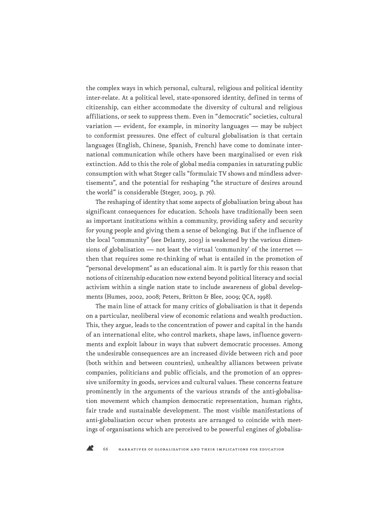the complex ways in which personal, cultural, religious and political identity inter-relate. At a political level, state-sponsored identity, defined in terms of citizenship, can either accommodate the diversity of cultural and religious affiliations, or seek to suppress them. Even in "democratic" societies, cultural variation — evident, for example, in minority languages — may be subject to conformist pressures. One effect of cultural globalisation is that certain languages (English, Chinese, Spanish, French) have come to dominate international communication while others have been marginalised or even risk extinction. Add to this the role of global media companies in saturating public consumption with what Steger calls "formulaic TV shows and mindless advertisements", and the potential for reshaping "the structure of desires around the world" is considerable (Steger, 2003, p. 76).

The reshaping of identity that some aspects of globalisation bring about has significant consequences for education. Schools have traditionally been seen as important institutions within a community, providing safety and security for young people and giving them a sense of belonging. But if the influence of the local "community" (see Delanty, 2003) is weakened by the various dimensions of globalisation — not least the virtual 'community' of the internet then that requires some re-thinking of what is entailed in the promotion of "personal development" as an educational aim. It is partly for this reason that notions of citizenship education now extend beyond political literacy and social activism within a single nation state to include awareness of global developments (Humes, 2002, 2008; Peters, Britton & Blee, 2009; QCA, 1998).

The main line of attack for many critics of globalisation is that it depends on a particular, neoliberal view of economic relations and wealth production. This, they argue, leads to the concentration of power and capital in the hands of an international elite, who control markets, shape laws, influence governments and exploit labour in ways that subvert democratic processes. Among the undesirable consequences are an increased divide between rich and poor (both within and between countries), unhealthy alliances between private companies, politicians and public officials, and the promotion of an oppressive uniformity in goods, services and cultural values. These concerns feature prominently in the arguments of the various strands of the anti-globalisation movement which champion democratic representation, human rights, fair trade and sustainable development. The most visible manifestations of anti-globalisation occur when protests are arranged to coincide with meetings of organisations which are perceived to be powerful engines of globalisa-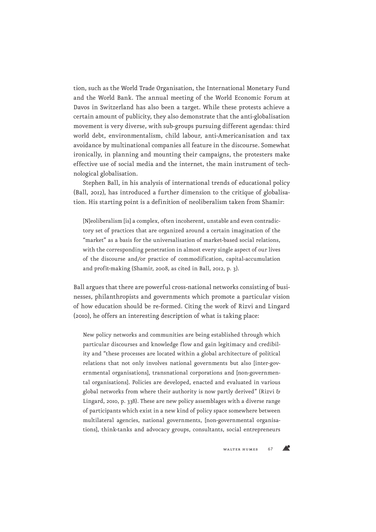tion, such as the World Trade Organisation, the International Monetary Fund and the World Bank. The annual meeting of the World Economic Forum at Davos in Switzerland has also been a target. While these protests achieve a certain amount of publicity, they also demonstrate that the anti-globalisation movement is very diverse, with sub-groups pursuing different agendas: third world debt, environmentalism, child labour, anti-Americanisation and tax avoidance by multinational companies all feature in the discourse. Somewhat ironically, in planning and mounting their campaigns, the protesters make effective use of social media and the internet, the main instrument of technological globalisation.

Stephen Ball, in his analysis of international trends of educational policy (Ball, 2012), has introduced a further dimension to the critique of globalisation. His starting point is a definition of neoliberalism taken from Shamir:

[N]eoliberalism [is] a complex, often incoherent, unstable and even contradictory set of practices that are organized around a certain imagination of the "market" as a basis for the universalisation of market-based social relations, with the corresponding penetration in almost every single aspect of our lives of the discourse and/or practice of commodification, capital-accumulation and profit-making (Shamir, 2008, as cited in Ball, 2012, p. 3).

Ball argues that there are powerful cross-national networks consisting of businesses, philanthropists and governments which promote a particular vision of how education should be re-formed. Citing the work of Rizvi and Lingard (2010), he offers an interesting description of what is taking place:

New policy networks and communities are being established through which particular discourses and knowledge flow and gain legitimacy and credibility and "these processes are located within a global architecture of political relations that not only involves national governments but also [inter-governmental organisations], transnational corporations and [non-governmental organisations]. Policies are developed, enacted and evaluated in various global networks from where their authority is now partly derived" (Rizvi & Lingard, 2010, p. 338). These are new policy assemblages with a diverse range of participants which exist in a new kind of policy space somewhere between multilateral agencies, national governments, [non-governmental organisations], think-tanks and advocacy groups, consultants, social entrepreneurs

walter humes 67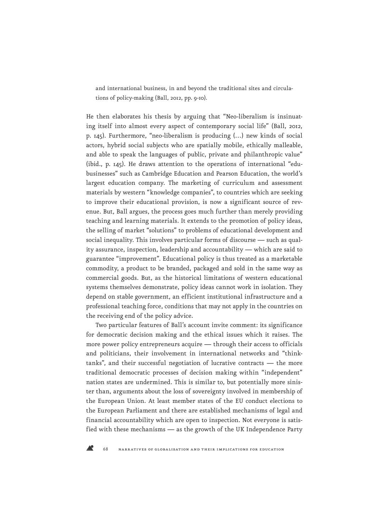and international business, in and beyond the traditional sites and circulations of policy-making (Ball, 2012, pp. 9-10).

He then elaborates his thesis by arguing that "Neo-liberalism is insinuating itself into almost every aspect of contemporary social life" (Ball, 2012, p. 145). Furthermore, "neo-liberalism is producing (…) new kinds of social actors, hybrid social subjects who are spatially mobile, ethically malleable, and able to speak the languages of public, private and philanthropic value" (ibid., p. 145). He draws attention to the operations of international "edubusinesses" such as Cambridge Education and Pearson Education, the world's largest education company. The marketing of curriculum and assessment materials by western "knowledge companies", to countries which are seeking to improve their educational provision, is now a significant source of revenue. But, Ball argues, the process goes much further than merely providing teaching and learning materials. It extends to the promotion of policy ideas, the selling of market "solutions" to problems of educational development and social inequality. This involves particular forms of discourse — such as quality assurance, inspection, leadership and accountability — which are said to guarantee "improvement". Educational policy is thus treated as a marketable commodity, a product to be branded, packaged and sold in the same way as commercial goods. But, as the historical limitations of western educational systems themselves demonstrate, policy ideas cannot work in isolation. They depend on stable government, an efficient institutional infrastructure and a professional teaching force, conditions that may not apply in the countries on the receiving end of the policy advice.

Two particular features of Ball's account invite comment: its significance for democratic decision making and the ethical issues which it raises. The more power policy entrepreneurs acquire — through their access to officials and politicians, their involvement in international networks and "thinktanks", and their successful negotiation of lucrative contracts — the more traditional democratic processes of decision making within "independent" nation states are undermined. This is similar to, but potentially more sinister than, arguments about the loss of sovereignty involved in membership of the European Union. At least member states of the EU conduct elections to the European Parliament and there are established mechanisms of legal and financial accountability which are open to inspection. Not everyone is satisfied with these mechanisms — as the growth of the UK Independence Party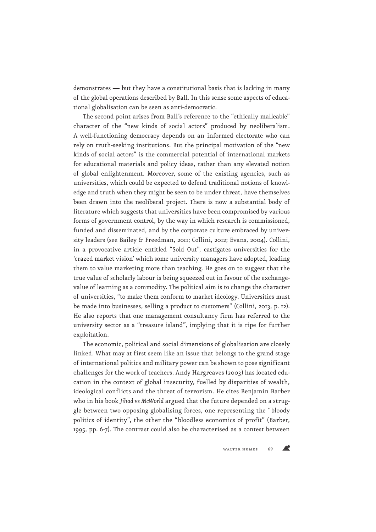demonstrates — but they have a constitutional basis that is lacking in many of the global operations described by Ball. In this sense some aspects of educational globalisation can be seen as anti-democratic.

The second point arises from Ball's reference to the "ethically malleable" character of the "new kinds of social actors" produced by neoliberalism. A well-functioning democracy depends on an informed electorate who can rely on truth-seeking institutions. But the principal motivation of the "new kinds of social actors" is the commercial potential of international markets for educational materials and policy ideas, rather than any elevated notion of global enlightenment. Moreover, some of the existing agencies, such as universities, which could be expected to defend traditional notions of knowledge and truth when they might be seen to be under threat, have themselves been drawn into the neoliberal project. There is now a substantial body of literature which suggests that universities have been compromised by various forms of government control, by the way in which research is commissioned, funded and disseminated, and by the corporate culture embraced by university leaders (see Bailey & Freedman, 2011; Collini, 2012; Evans, 2004). Collini, in a provocative article entitled "Sold Out", castigates universities for the 'crazed market vision' which some university managers have adopted, leading them to value marketing more than teaching. He goes on to suggest that the true value of scholarly labour is being squeezed out in favour of the exchangevalue of learning as a commodity. The political aim is to change the character of universities, "to make them conform to market ideology. Universities must be made into businesses, selling a product to customers" (Collini, 2013, p. 12). He also reports that one management consultancy firm has referred to the university sector as a "treasure island", implying that it is ripe for further exploitation.

The economic, political and social dimensions of globalisation are closely linked. What may at first seem like an issue that belongs to the grand stage of international politics and military power can be shown to pose significant challenges for the work of teachers. Andy Hargreaves (2003) has located education in the context of global insecurity, fuelled by disparities of wealth, ideological conflicts and the threat of terrorism. He cites Benjamin Barber who in his book *Jihad vs McWorld* argued that the future depended on a struggle between two opposing globalising forces, one representing the "bloody politics of identity", the other the "bloodless economics of profit" (Barber, 1995, pp. 6-7). The contrast could also be characterised as a contest between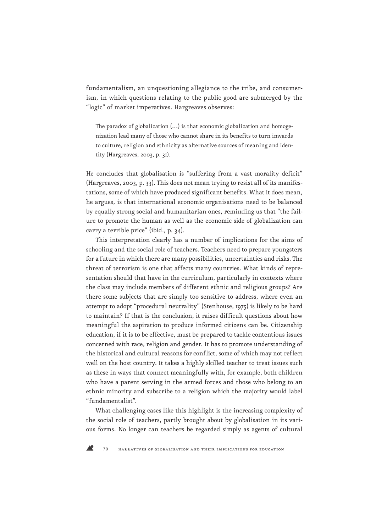fundamentalism, an unquestioning allegiance to the tribe, and consumerism, in which questions relating to the public good are submerged by the "logic" of market imperatives. Hargreaves observes:

The paradox of globalization (…) is that economic globalization and homogenization lead many of those who cannot share in its benefits to turn inwards to culture, religion and ethnicity as alternative sources of meaning and identity (Hargreaves, 2003, p. 31).

He concludes that globalisation is "suffering from a vast morality deficit" (Hargreaves, 2003, p. 33). This does not mean trying to resist all of its manifestations, some of which have produced significant benefits. What it does mean, he argues, is that international economic organisations need to be balanced by equally strong social and humanitarian ones, reminding us that "the failure to promote the human as well as the economic side of globalization can carry a terrible price" (ibid., p. 34).

This interpretation clearly has a number of implications for the aims of schooling and the social role of teachers. Teachers need to prepare youngsters for a future in which there are many possibilities, uncertainties and risks. The threat of terrorism is one that affects many countries. What kinds of representation should that have in the curriculum, particularly in contexts where the class may include members of different ethnic and religious groups? Are there some subjects that are simply too sensitive to address, where even an attempt to adopt "procedural neutrality" (Stenhouse, 1975) is likely to be hard to maintain? If that is the conclusion, it raises difficult questions about how meaningful the aspiration to produce informed citizens can be. Citizenship education, if it is to be effective, must be prepared to tackle contentious issues concerned with race, religion and gender. It has to promote understanding of the historical and cultural reasons for conflict, some of which may not reflect well on the host country. It takes a highly skilled teacher to treat issues such as these in ways that connect meaningfully with, for example, both children who have a parent serving in the armed forces and those who belong to an ethnic minority and subscribe to a religion which the majority would label "fundamentalist".

What challenging cases like this highlight is the increasing complexity of the social role of teachers, partly brought about by globalisation in its various forms. No longer can teachers be regarded simply as agents of cultural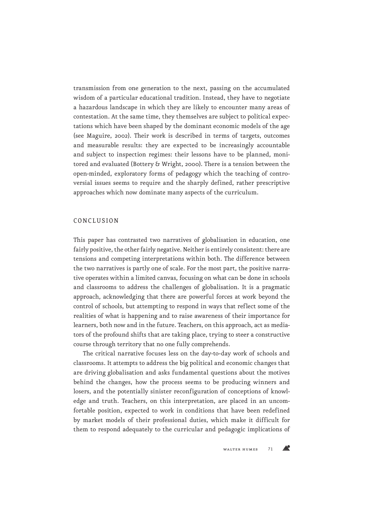transmission from one generation to the next, passing on the accumulated wisdom of a particular educational tradition. Instead, they have to negotiate a hazardous landscape in which they are likely to encounter many areas of contestation. At the same time, they themselves are subject to political expectations which have been shaped by the dominant economic models of the age (see Maguire, 2002). Their work is described in terms of targets, outcomes and measurable results: they are expected to be increasingly accountable and subject to inspection regimes: their lessons have to be planned, monitored and evaluated (Bottery & Wright, 2000). There is a tension between the open-minded, exploratory forms of pedagogy which the teaching of controversial issues seems to require and the sharply defined, rather prescriptive approaches which now dominate many aspects of the curriculum.

## CONCLUSION

This paper has contrasted two narratives of globalisation in education, one fairly positive, the other fairly negative. Neither is entirely consistent: there are tensions and competing interpretations within both. The difference between the two narratives is partly one of scale. For the most part, the positive narrative operates within a limited canvas, focusing on what can be done in schools and classrooms to address the challenges of globalisation. It is a pragmatic approach, acknowledging that there are powerful forces at work beyond the control of schools, but attempting to respond in ways that reflect some of the realities of what is happening and to raise awareness of their importance for learners, both now and in the future. Teachers, on this approach, act as mediators of the profound shifts that are taking place, trying to steer a constructive course through territory that no one fully comprehends.

The critical narrative focuses less on the day-to-day work of schools and classrooms. It attempts to address the big political and economic changes that are driving globalisation and asks fundamental questions about the motives behind the changes, how the process seems to be producing winners and losers, and the potentially sinister reconfiguration of conceptions of knowledge and truth. Teachers, on this interpretation, are placed in an uncomfortable position, expected to work in conditions that have been redefined by market models of their professional duties, which make it difficult for them to respond adequately to the curricular and pedagogic implications of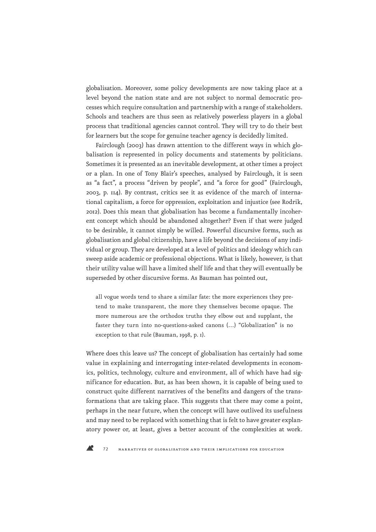globalisation. Moreover, some policy developments are now taking place at a level beyond the nation state and are not subject to normal democratic processes which require consultation and partnership with a range of stakeholders. Schools and teachers are thus seen as relatively powerless players in a global process that traditional agencies cannot control. They will try to do their best for learners but the scope for genuine teacher agency is decidedly limited.

Fairclough (2003) has drawn attention to the different ways in which globalisation is represented in policy documents and statements by politicians. Sometimes it is presented as an inevitable development, at other times a project or a plan. In one of Tony Blair's speeches, analysed by Fairclough, it is seen as "a fact", a process "driven by people", and "a force for good" (Fairclough, 2003, p. 114). By contrast, critics see it as evidence of the march of international capitalism, a force for oppression, exploitation and injustice (see Rodrik, 2012). Does this mean that globalisation has become a fundamentally incoherent concept which should be abandoned altogether? Even if that were judged to be desirable, it cannot simply be willed. Powerful discursive forms, such as globalisation and global citizenship, have a life beyond the decisions of any individual or group. They are developed at a level of politics and ideology which can sweep aside academic or professional objections. What is likely, however, is that their utility value will have a limited shelf life and that they will eventually be superseded by other discursive forms. As Bauman has pointed out,

all vogue words tend to share a similar fate: the more experiences they pretend to make transparent, the more they themselves become opaque. The more numerous are the orthodox truths they elbow out and supplant, the faster they turn into no-questions-asked canons (…) "Globalization" is no exception to that rule (Bauman, 1998, p. 1).

Where does this leave us? The concept of globalisation has certainly had some value in explaining and interrogating inter-related developments in economics, politics, technology, culture and environment, all of which have had significance for education. But, as has been shown, it is capable of being used to construct quite different narratives of the benefits and dangers of the transformations that are taking place. This suggests that there may come a point, perhaps in the near future, when the concept will have outlived its usefulness and may need to be replaced with something that is felt to have greater explanatory power or, at least, gives a better account of the complexities at work.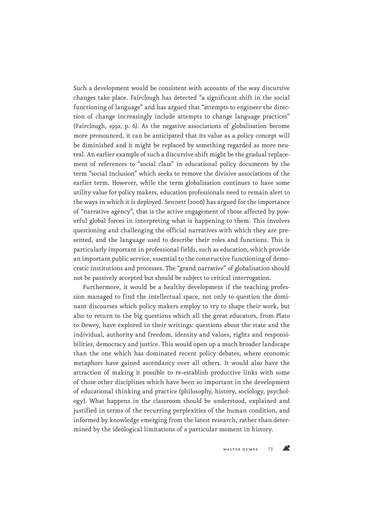Such a development would be consistent with accounts of the way discursive changes take place. Fairclough has detected "a significant shift in the social functioning of language" and has argued that "attempts to engineer the direction of change increasingly include attempts to change language practices" (Fairclough, 1992, p. 6). As the negative associations of globalisation become more pronounced, it can be anticipated that its value as a policy concept will be diminished and it might be replaced by something regarded as more neutral. An earlier example of such a discursive shift might be the gradual replacement of references to "social class" in educational policy documents by the term "social inclusion" which seeks to remove the divisive associations of the earlier term. However, while the term globalisation continues to have some utility value for policy makers, education professionals need to remain alert to the ways in which it is deployed. Sennett (2006) has argued for the importance of "narrative agency", that is the active engagement of those affected by powerful global forces in interpreting what is happening to them. This involves questioning and challenging the official narratives with which they are presented, and the language used to describe their roles and functions. This is particularly important in professional fields, such as education, which provide an important public service, essential to the constructive functioning of democratic institutions and processes. The "grand narrative" of globalisation should not be passively accepted but should be subject to critical interrogation.

Furthermore, it would be a healthy development if the teaching profession managed to find the intellectual space, not only to question the dominant discourses which policy makers employ to try to shape their work, but also to return to the big questions which all the great educators, from Plato to Dewey, have explored in their writings: questions about the state and the individual, authority and freedom, identity and values, rights and responsibilities, democracy and justice. This would open up a much broader landscape than the one which has dominated recent policy debates, where economic metaphors have gained ascendancy over all others. It would also have the attraction of making it possible to re-establish productive links with some of those other disciplines which have been so important in the development of educational thinking and practice (philosophy, history, sociology, psychology). What happens in the classroom should be understood, explained and justified in terms of the recurring perplexities of the human condition, and informed by knowledge emerging from the latest research, rather than determined by the ideological limitations of a particular moment in history.

Æ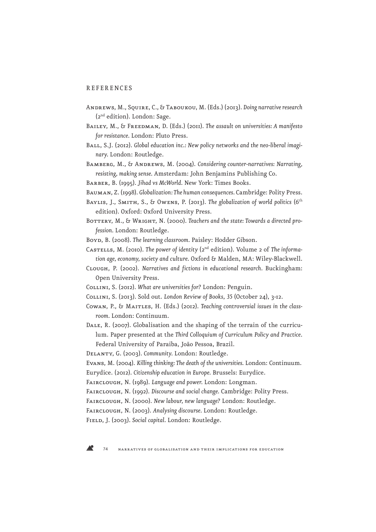# REFERENCES

- Andrews, M., Squire, C., & Taboukou, M. (Eds.) (2013). *Doing narrative research*  (2nd edition). London: Sage.
- BAILEY, M., & FREEDMAN, D. (Eds.) (2011). The assault on universities: A manifesto *for resistance.* London: Pluto Press.
- BALL, S.J. (2012). Global education inc.: New policy networks and the neo-liberal imagi*nary.* London: Routledge.
- Bamberg, M., & Andrews, M. (2004). *Considering counter-narratives: Narrating, resisting, making sense.* Amsterdam: John Benjamins Publishing Co.
- Barber, B. (1995). *Jihad vs McWorld.* New York: Times Books.
- Bauman, Z. (1998). *Globalization: The human consequences.* Cambridge: Polity Press.
- BAYLIS, J., SMITH, S., & OWENS, P. (2013). *The globalization of world politics* (6<sup>th</sup> edition). Oxford: Oxford University Press.
- BOTTERY, M., & WRIGHT, N. (2000). *Teachers and the state: Towards a directed profession.* London: Routledge.
- Boyd, B. (2008). The learning classroom. Paisley: Hodder Gibson.
- Castells, M. (2010). *The power of identity* (2nd edition). Volume 2 of *The information age, economy, society and culture.* Oxford & Malden, MA: Wiley-Blackwell.
- Clough, P. (2002). *Narratives and fictions in educational research.* Buckingham: Open University Press.
- Collini, S. (2012). *What are universities for?* London: Penguin.
- Collini, S. (2013). Sold out. *London Review of Books*, *35* (October 24), 3-12.
- Cowan, P., & Maitles, H. (Eds.) (2012). *Teaching controversial issues in the classroom.* London: Continuum.
- DALE, R. (2007). Globalisation and the shaping of the terrain of the curriculum. Paper presented at the *Third Colloquium of Curriculum Policy and Practice*. Federal University of Paraiba, João Pessoa, Brazil.
- Delanty, G. (2003). *Community.* London: Routledge.
- Evans, M. (2004). *Killing thinking: The death of the universities.* London: Continuum.
- Eurydice. (2012). *Citizenship education in Europe.* Brussels: Eurydice.
- Fairclough, N. (1989). *Language and power.* London: Longman.
- Fairclough, N. (1992). *Discourse and social change.* Cambridge: Polity Press.
- Fairclough, N. (2000). *New labour, new language?* London: Routledge.
- Fairclough, N. (2003). *Analysing discourse.* London: Routledge.

Field, J. (2003). *Social capital.* London: Routledge.

▲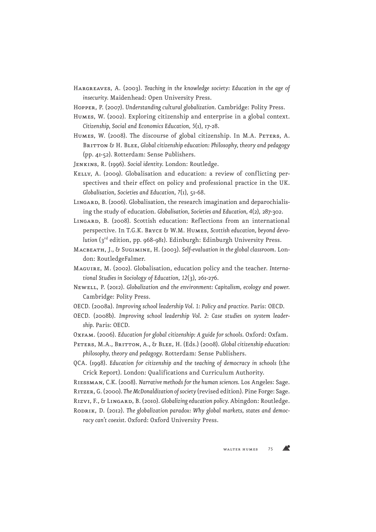- HARGREAVES, A. (2003). *Teaching in the knowledge society: Education in the age of insecurity.* Maidenhead: Open University Press.
- Hopper, P. (2007). *Understanding cultural globalization.* Cambridge: Polity Press.
- Humes, W. (2002). Exploring citizenship and enterprise in a global context. *Citizenship, Social and Economics Education, 5*(1), 17-28.
- HUMES, W. (2008). The discourse of global citizenship. In M.A. PETERS, A. BRITTON & H. BLEE, Global citizenship education: Philosophy, theory and pedagogy (pp. 41-52)*.* Rotterdam: Sense Publishers.
- Jenkins, R. (1996). *Social identity.* London: Routledge.
- KELLY, A. (2009). Globalisation and education: a review of conflicting perspectives and their effect on policy and professional practice in the UK. *Globalisation, Societies and Education, 7*(1), 51-68.
- LINGARD, B. (2006). Globalisation, the research imagination and deparochialising the study of education. *Globalisation, Societies and Education, 4*(2), 287-302.
- LINGARD, B. (2008). Scottish education: Reflections from an international perspective. In T.G.K. Bryce & W.M. Humes, *Scottish education, beyond devolution* (3rd edition, pp. 968-981). Edinburgh: Edinburgh University Press.
- Macbeath, J., & Sugimine, H. (2003). *Self-evaluation in the global classroom.* London: RoutledgeFalmer.
- Maguire, M. (2002). Globalisation, education policy and the teacher. *International Studies in Sociology of Education, 12*(3), 261-276.
- Newell, P. (2012). *Globalization and the environment: Capitalism, ecology and power.*  Cambridge: Polity Press.
- OECD. (2008a). *Improving school leadership Vol. 1: Policy and practice.* Paris: OECD.
- OECD. (2008b). *Improving school leadership Vol. 2: Case studies on system leadership.* Paris: OECD.
- OXFAM. (2006). *Education for global citizenship: A guide for schools. Oxford: Oxfam.*
- PETERS, M.A., BRITTON, A., & BLEE, H. (Eds.) (2008). Global citizenship education: *philosophy, theory and pedagogy.* Rotterdam: Sense Publishers.
- QCA. (1998). *Education for citizenship and the teaching of democracy in schools* (the Crick Report). London: Qualifications and Curriculum Authority.
- Riessman, C.K. (2008). *Narrative methods for the human sciences.* Los Angeles: Sage.
- Ritzer, G. (2000). *The McDonaldization of society* (revised edition). Pine Forge: Sage. Rizvi, F., & Lingard, B. (2010). *Globalizing education policy.* Abingdon: Routledge.
- RODRIK, D. (2012). The globalization paradox: Why global markets, states and democ-

*racy can't coexist.* Oxford: Oxford University Press.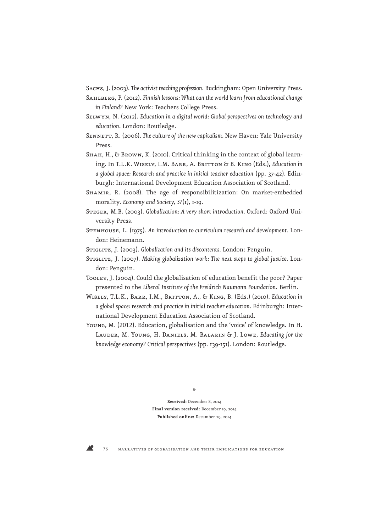SACHS, J. (2003). The activist teaching profession. Buckingham: Open University Press.

SAHLBERG, P. (2012). *Finnish lessons: What can the world learn from educational change in Finland?* New York: Teachers College Press.

- SELWYN, N. (2012). *Education in a digital world: Global perspectives on technology and education.* London: Routledge.
- SENNETT, R. (2006). The culture of the new capitalism. New Haven: Yale University Press.
- SHAH, H., & BROWN, K. (2010). Critical thinking in the context of global learning. In T.L.K. Wisely, I.M. Barr, A. Britton & B. King (Eds.), *Education in a global space: Research and practice in initial teacher education* (pp. 37-42). Edinburgh: International Development Education Association of Scotland.
- SHAMIR, R. (2008). The age of responsibilitization: On market-embedded morality. *Economy and Society, 37*(1), 1-19.
- Steger, M.B. (2003). *Globalization: A very short introduction.* Oxford: Oxford University Press.
- STENHOUSE, L. (1975). An introduction to curriculum research and development. London: Heinemann.

STIGLITZ, J. (2003). Globalization and its discontents. London: Penguin.

- STIGLITZ, J. (2007). *Making globalization work: The next steps to global justice.* London: Penguin.
- Tooley, J. (2004). Could the globalisation of education benefit the poor? Paper presented to the *Liberal Institute of the Freidrich Naumann Foundation*. Berlin.
- Wisely, T.L.K., Barr, I.M., Britton, A., & King, B. (Eds.) (2010). *Education in a global space: research and practice in initial teacher education.* Edinburgh: International Development Education Association of Scotland.
- Young, M. (2012). Education, globalisation and the 'voice' of knowledge. In H. Lauder, M. Young, H. Daniels, M. Balarin & J. Lowe, *Educating for the knowledge economy? Critical perspectives* (pp. 139-151)*.* London: Routledge.

**Received:** December 8, 2014 **Final version received:** December 19, 2014 **Published online:** December 29, 2014

\*

А.

76 narratives of globalisation and their implications for education